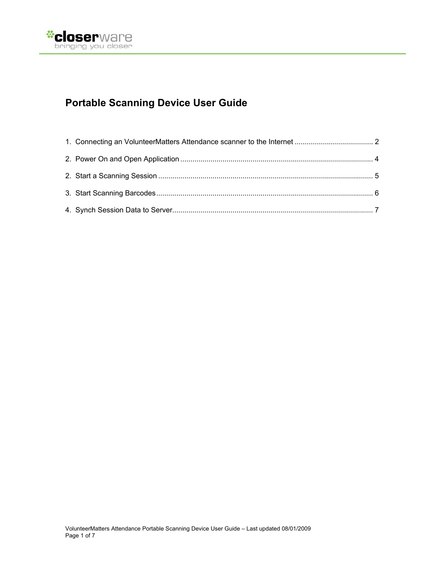

# **Portable Scanning Device User Guide**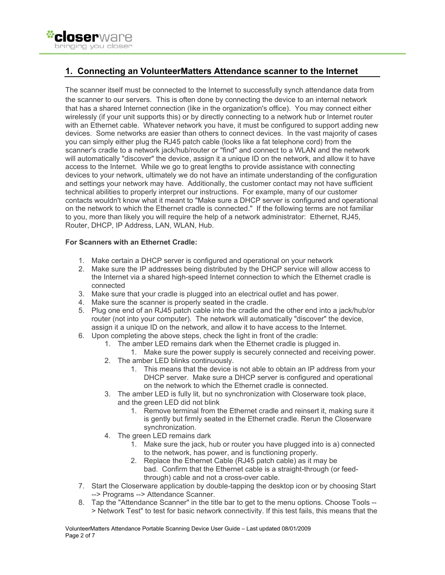

## **1. Connecting an VolunteerMatters Attendance scanner to the Internet**

The scanner itself must be connected to the Internet to successfully synch attendance data from the scanner to our servers. This is often done by connecting the device to an internal network that has a shared Internet connection (like in the organization's office). You may connect either wirelessly (if your unit supports this) or by directly connecting to a network hub or Internet router with an Ethernet cable. Whatever network you have, it must be configured to support adding new devices. Some networks are easier than others to connect devices. In the vast majority of cases you can simply either plug the RJ45 patch cable (looks like a fat telephone cord) from the scanner's cradle to a network jack/hub/router or "find" and connect to a WLAN and the network will automatically "discover" the device, assign it a unique ID on the network, and allow it to have access to the Internet. While we go to great lengths to provide assistance with connecting devices to your network, ultimately we do not have an intimate understanding of the configuration and settings your network may have. Additionally, the customer contact may not have sufficient technical abilities to properly interpret our instructions. For example, many of our customer contacts wouldn't know what it meant to "Make sure a DHCP server is configured and operational on the network to which the Ethernet cradle is connected." If the following terms are not familiar to you, more than likely you will require the help of a network administrator: Ethernet, RJ45, Router, DHCP, IP Address, LAN, WLAN, Hub.

### **For Scanners with an Ethernet Cradle:**

- 1. Make certain a DHCP server is configured and operational on your network
- 2. Make sure the IP addresses being distributed by the DHCP service will allow access to the Internet via a shared high-speed Internet connection to which the Ethernet cradle is connected
- 3. Make sure that your cradle is plugged into an electrical outlet and has power.
- 4. Make sure the scanner is properly seated in the cradle.
- 5. Plug one end of an RJ45 patch cable into the cradle and the other end into a jack/hub/or router (not into your computer). The network will automatically "discover" the device, assign it a unique ID on the network, and allow it to have access to the Internet.
- 6. Upon completing the above steps, check the light in front of the cradle:
	- 1. The amber LED remains dark when the Ethernet cradle is plugged in.
		- 1. Make sure the power supply is securely connected and receiving power.
	- 2. The amber LED blinks continuously.
		- 1. This means that the device is not able to obtain an IP address from your DHCP server. Make sure a DHCP server is configured and operational on the network to which the Ethernet cradle is connected.
	- 3. The amber LED is fully lit, but no synchronization with Closerware took place, and the green LED did not blink
		- 1. Remove terminal from the Ethernet cradle and reinsert it, making sure it is gently but firmly seated in the Ethernet cradle. Rerun the Closerware synchronization.
	- 4. The green LED remains dark
		- 1. Make sure the jack, hub or router you have plugged into is a) connected to the network, has power, and is functioning properly.
		- 2. Replace the Ethernet Cable (RJ45 patch cable) as it may be bad. Confirm that the Ethernet cable is a straight-through (or feedthrough) cable and not a cross-over cable.
- 7. Start the Closerware application by double-tapping the desktop icon or by choosing Start --> Programs --> Attendance Scanner.
- 8. Tap the "Attendance Scanner" in the title bar to get to the menu options. Choose Tools -- > Network Test" to test for basic network connectivity. If this test fails, this means that the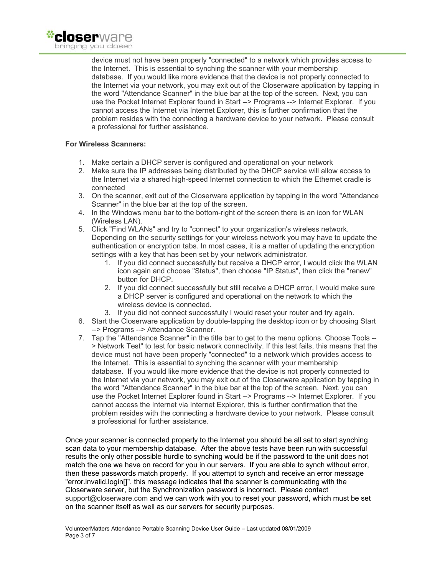

device must not have been properly "connected" to a network which provides access to the Internet. This is essential to synching the scanner with your membership database. If you would like more evidence that the device is not properly connected to the Internet via your network, you may exit out of the Closerware application by tapping in the word "Attendance Scanner" in the blue bar at the top of the screen. Next, you can use the Pocket Internet Explorer found in Start --> Programs --> Internet Explorer. If you cannot access the Internet via Internet Explorer, this is further confirmation that the problem resides with the connecting a hardware device to your network. Please consult a professional for further assistance.

#### **For Wireless Scanners:**

- 1. Make certain a DHCP server is configured and operational on your network
- 2. Make sure the IP addresses being distributed by the DHCP service will allow access to the Internet via a shared high-speed Internet connection to which the Ethernet cradle is connected
- 3. On the scanner, exit out of the Closerware application by tapping in the word "Attendance Scanner" in the blue bar at the top of the screen.
- 4. In the Windows menu bar to the bottom-right of the screen there is an icon for WLAN (Wireless LAN).
- 5. Click "Find WLANs" and try to "connect" to your organization's wireless network. Depending on the security settings for your wireless network you may have to update the authentication or encryption tabs. In most cases, it is a matter of updating the encryption settings with a key that has been set by your network administrator.
	- 1. If you did connect successfully but receive a DHCP error, I would click the WLAN icon again and choose "Status", then choose "IP Status", then click the "renew" button for DHCP.
	- 2. If you did connect successfully but still receive a DHCP error, I would make sure a DHCP server is configured and operational on the network to which the wireless device is connected.
	- 3. If you did not connect successfully I would reset your router and try again.
- 6. Start the Closerware application by double-tapping the desktop icon or by choosing Start --> Programs --> Attendance Scanner.
- 7. Tap the "Attendance Scanner" in the title bar to get to the menu options. Choose Tools -- > Network Test" to test for basic network connectivity. If this test fails, this means that the device must not have been properly "connected" to a network which provides access to the Internet. This is essential to synching the scanner with your membership database. If you would like more evidence that the device is not properly connected to the Internet via your network, you may exit out of the Closerware application by tapping in the word "Attendance Scanner" in the blue bar at the top of the screen. Next, you can use the Pocket Internet Explorer found in Start --> Programs --> Internet Explorer. If you cannot access the Internet via Internet Explorer, this is further confirmation that the problem resides with the connecting a hardware device to your network. Please consult a professional for further assistance.

Once your scanner is connected properly to the Internet you should be all set to start synching scan data to your membership database. After the above tests have been run with successful results the only other possible hurdle to synching would be if the password to the unit does not match the one we have on record for you in our servers. If you are able to synch without error, then these passwords match properly. If you attempt to synch and receive an error message "error.invalid.login[]", this message indicates that the scanner is communicating with the Closerware server, but the Synchronization password is incorrect. Please contact support@closerware.com and we can work with you to reset your password, which must be set on the scanner itself as well as our servers for security purposes.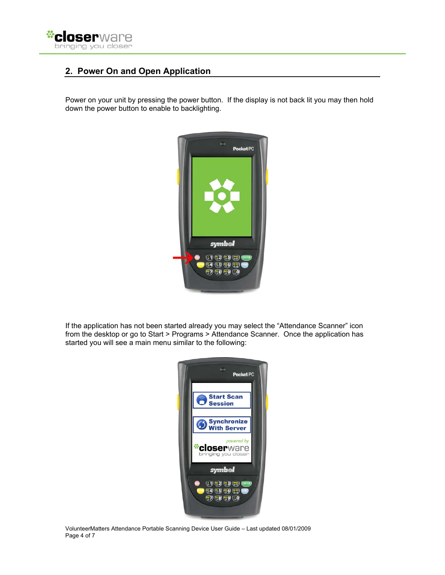

# **2. Power On and Open Application**

Power on your unit by pressing the power button. If the display is not back lit you may then hold down the power button to enable to backlighting.



If the application has not been started already you may select the "Attendance Scanner" icon from the desktop or go to Start > Programs > Attendance Scanner. Once the application has started you will see a main menu similar to the following:



VolunteerMatters Attendance Portable Scanning Device User Guide – Last updated 08/01/2009 Page 4 of 7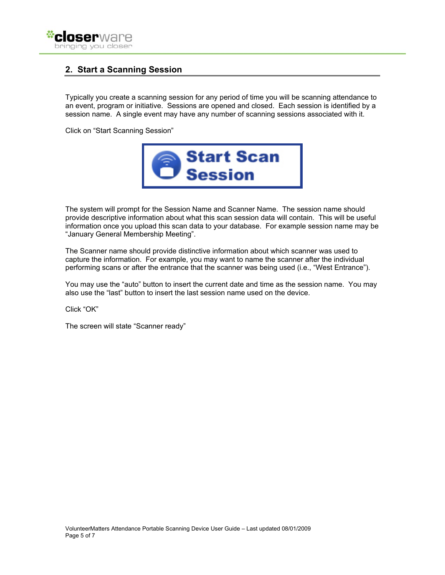

## **2. Start a Scanning Session**

Typically you create a scanning session for any period of time you will be scanning attendance to an event, program or initiative. Sessions are opened and closed. Each session is identified by a session name. A single event may have any number of scanning sessions associated with it.

Click on "Start Scanning Session"



The system will prompt for the Session Name and Scanner Name. The session name should provide descriptive information about what this scan session data will contain. This will be useful information once you upload this scan data to your database. For example session name may be "January General Membership Meeting".

The Scanner name should provide distinctive information about which scanner was used to capture the information. For example, you may want to name the scanner after the individual performing scans or after the entrance that the scanner was being used (i.e., "West Entrance").

You may use the "auto" button to insert the current date and time as the session name. You may also use the "last" button to insert the last session name used on the device.

Click "OK"

The screen will state "Scanner ready"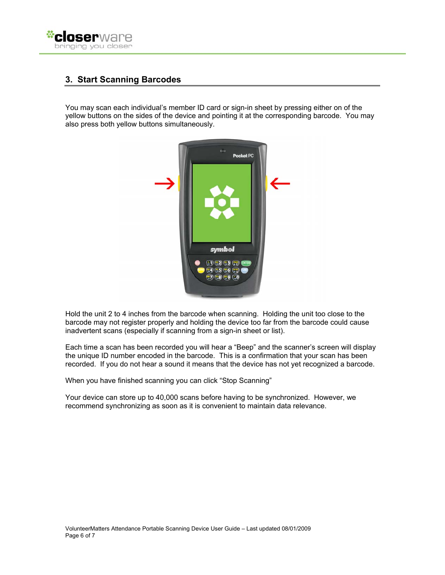

# **3. Start Scanning Barcodes**

You may scan each individual's member ID card or sign-in sheet by pressing either on of the yellow buttons on the sides of the device and pointing it at the corresponding barcode. You may also press both yellow buttons simultaneously.



Hold the unit 2 to 4 inches from the barcode when scanning. Holding the unit too close to the barcode may not register properly and holding the device too far from the barcode could cause inadvertent scans (especially if scanning from a sign-in sheet or list).

Each time a scan has been recorded you will hear a "Beep" and the scanner's screen will display the unique ID number encoded in the barcode. This is a confirmation that your scan has been recorded. If you do not hear a sound it means that the device has not yet recognized a barcode.

When you have finished scanning you can click "Stop Scanning"

Your device can store up to 40,000 scans before having to be synchronized. However, we recommend synchronizing as soon as it is convenient to maintain data relevance.